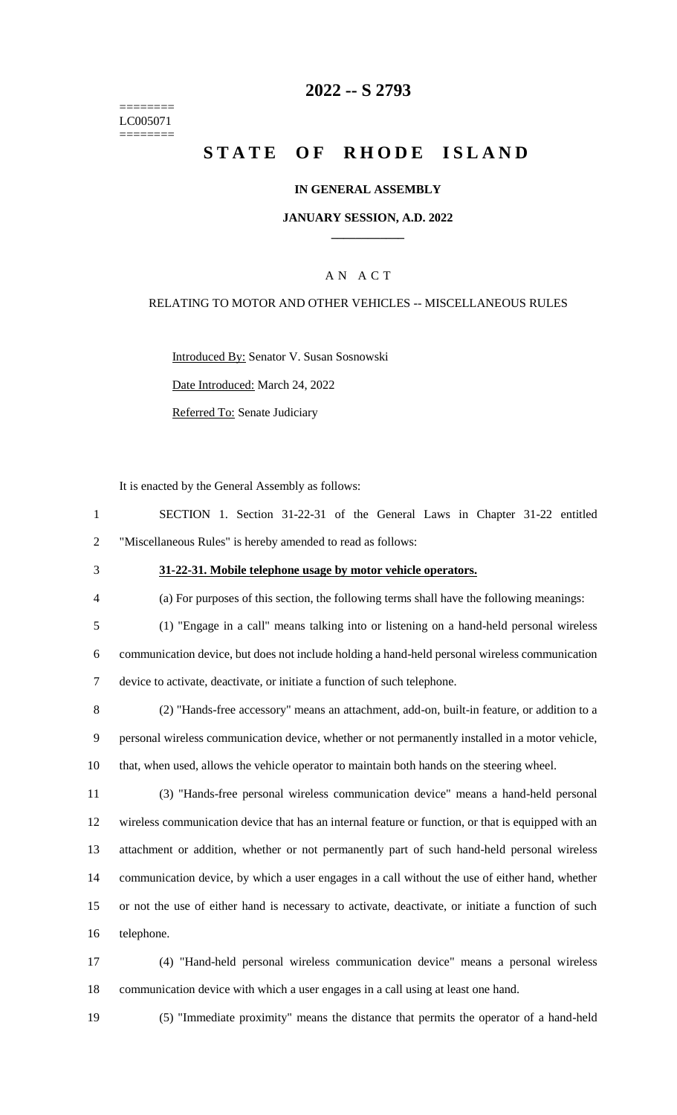======== LC005071 ========

### **-- S 2793**

# **STATE OF RHODE ISLAND**

#### **IN GENERAL ASSEMBLY**

### **JANUARY SESSION, A.D. 2022 \_\_\_\_\_\_\_\_\_\_\_\_**

### A N A C T

### RELATING TO MOTOR AND OTHER VEHICLES -- MISCELLANEOUS RULES

Introduced By: Senator V. Susan Sosnowski

Date Introduced: March 24, 2022

Referred To: Senate Judiciary

It is enacted by the General Assembly as follows:

| SECTION 1. Section 31-22-31 of the General Laws in Chapter 31-22 entitled |  |  |  |  |  |  |  |  |  |  |
|---------------------------------------------------------------------------|--|--|--|--|--|--|--|--|--|--|
| "Miscellaneous Rules" is hereby amended to read as follows:               |  |  |  |  |  |  |  |  |  |  |

### **31-22-31. Mobile telephone usage by motor vehicle operators.**

(a) For purposes of this section, the following terms shall have the following meanings:

- (1) "Engage in a call" means talking into or listening on a hand-held personal wireless communication device, but does not include holding a hand-held personal wireless communication device to activate, deactivate, or initiate a function of such telephone.
- (2) "Hands-free accessory" means an attachment, add-on, built-in feature, or addition to a personal wireless communication device, whether or not permanently installed in a motor vehicle, that, when used, allows the vehicle operator to maintain both hands on the steering wheel.
- (3) "Hands-free personal wireless communication device" means a hand-held personal wireless communication device that has an internal feature or function, or that is equipped with an attachment or addition, whether or not permanently part of such hand-held personal wireless communication device, by which a user engages in a call without the use of either hand, whether or not the use of either hand is necessary to activate, deactivate, or initiate a function of such telephone.
- (4) "Hand-held personal wireless communication device" means a personal wireless communication device with which a user engages in a call using at least one hand.
- 

(5) "Immediate proximity" means the distance that permits the operator of a hand-held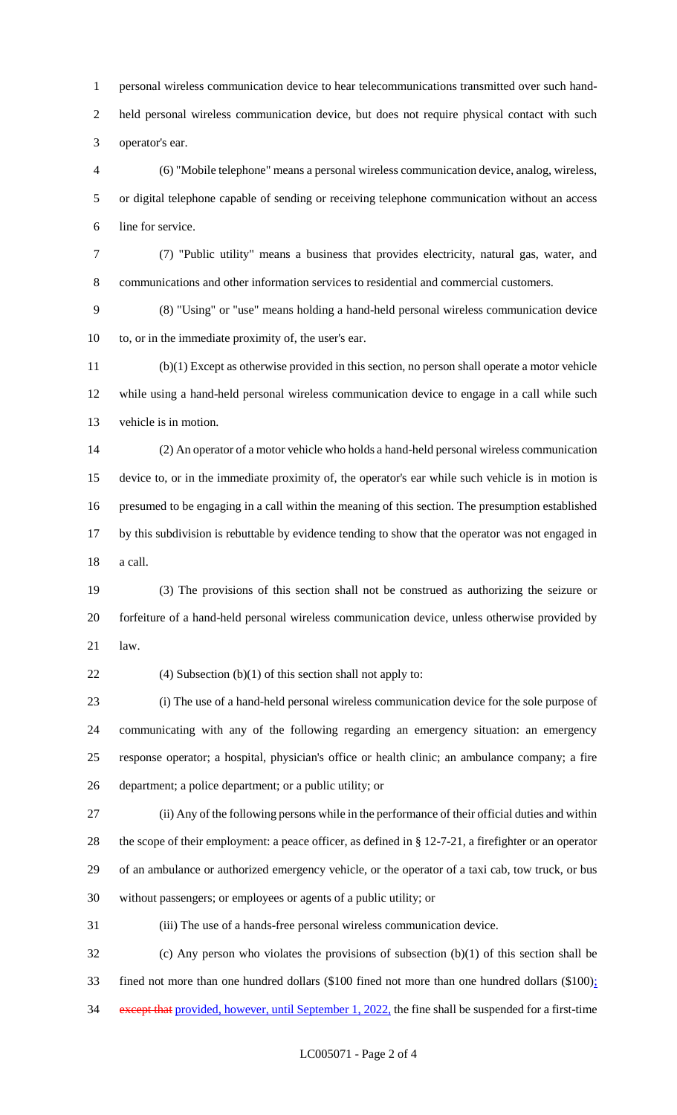personal wireless communication device to hear telecommunications transmitted over such hand- held personal wireless communication device, but does not require physical contact with such operator's ear.

 (6) "Mobile telephone" means a personal wireless communication device, analog, wireless, or digital telephone capable of sending or receiving telephone communication without an access line for service.

 (7) "Public utility" means a business that provides electricity, natural gas, water, and communications and other information services to residential and commercial customers.

 (8) "Using" or "use" means holding a hand-held personal wireless communication device to, or in the immediate proximity of, the user's ear.

 (b)(1) Except as otherwise provided in this section, no person shall operate a motor vehicle while using a hand-held personal wireless communication device to engage in a call while such vehicle is in motion.

 (2) An operator of a motor vehicle who holds a hand-held personal wireless communication device to, or in the immediate proximity of, the operator's ear while such vehicle is in motion is presumed to be engaging in a call within the meaning of this section. The presumption established by this subdivision is rebuttable by evidence tending to show that the operator was not engaged in a call.

 (3) The provisions of this section shall not be construed as authorizing the seizure or forfeiture of a hand-held personal wireless communication device, unless otherwise provided by law.

22 (4) Subsection  $(b)(1)$  of this section shall not apply to:

 (i) The use of a hand-held personal wireless communication device for the sole purpose of communicating with any of the following regarding an emergency situation: an emergency response operator; a hospital, physician's office or health clinic; an ambulance company; a fire department; a police department; or a public utility; or

 (ii) Any of the following persons while in the performance of their official duties and within the scope of their employment: a peace officer, as defined in § 12-7-21, a firefighter or an operator of an ambulance or authorized emergency vehicle, or the operator of a taxi cab, tow truck, or bus without passengers; or employees or agents of a public utility; or

(iii) The use of a hands-free personal wireless communication device.

 (c) Any person who violates the provisions of subsection (b)(1) of this section shall be fined not more than one hundred dollars (\$100 fined not more than one hundred dollars (\$100); 34 except that provided, however, until September 1, 2022, the fine shall be suspended for a first-time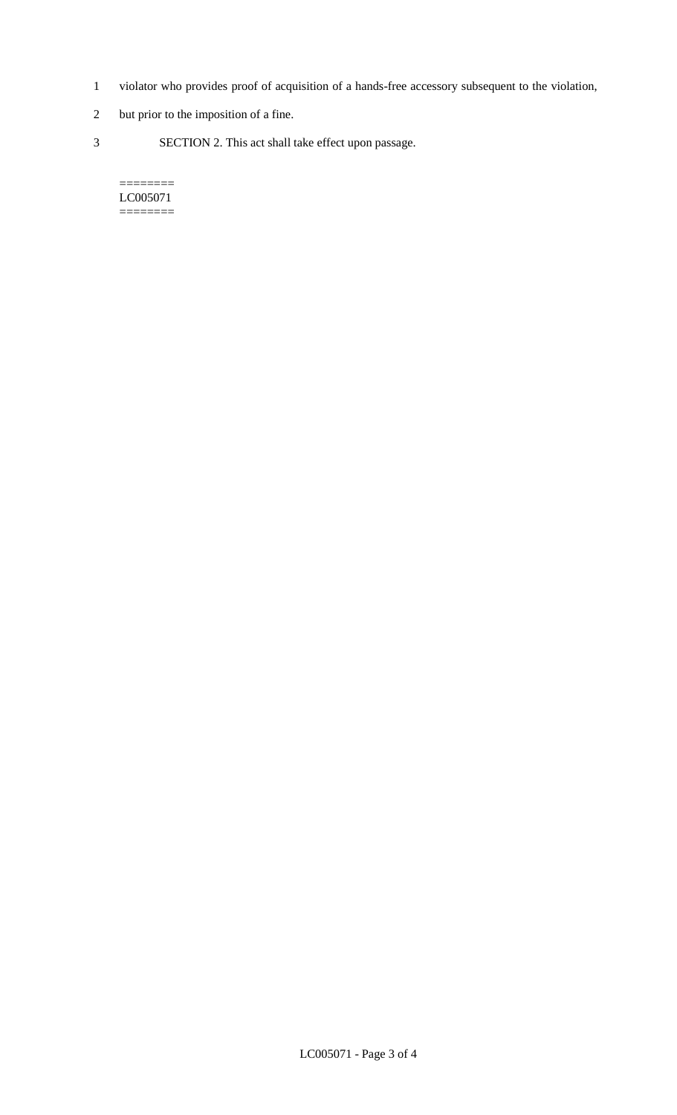- 1 violator who provides proof of acquisition of a hands-free accessory subsequent to the violation,
- 2 but prior to the imposition of a fine.
- 3 SECTION 2. This act shall take effect upon passage.

#### $=$ LC005071 ========